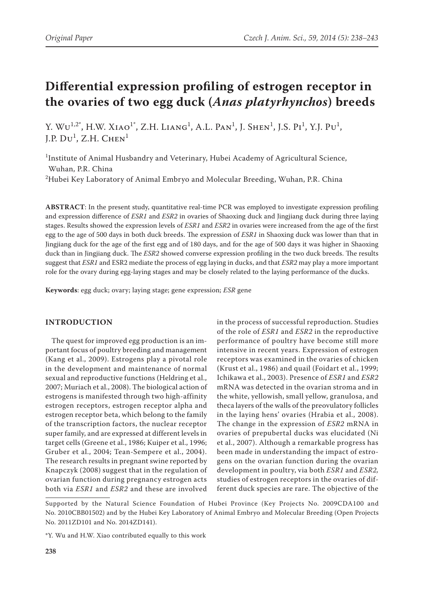# **Differential expression profiling of estrogen receptor in the ovaries of two egg duck (***Anas platyrhynchos***) breeds**

Y. W $U^{1,2^*}$ , H.W. Xiao<sup>1</sup><sup>\*</sup>, Z.H. Liang<sup>1</sup>, A.L. Pan<sup>1</sup>, J. Shen<sup>1</sup>, J.S. Pi<sup>1</sup>, Y.J. Pu<sup>1</sup>, J.P.  $D\upsilon^1$ , Z.H.  $CHEN^1$ 

<sup>1</sup>Institute of Animal Husbandry and Veterinary, Hubei Academy of Agricultural Science, Wuhan, P.R. China  $^{2}$ Hubei Key Laboratory of Animal Embryo and Molecular Breeding, Wuhan, P.R. China

**Abstract**: In the present study, quantitative real-time PCR was employed to investigate expression profiling and expression difference of *ESR1* and *ESR2* in ovaries of Shaoxing duck and Jingjiang duck during three laying stages. Results showed the expression levels of *ESR1* and *ESR2* in ovaries were increased from the age of the first egg to the age of 500 days in both duck breeds. The expression of *ESR1* in Shaoxing duck was lower than that in Jingjiang duck for the age of the first egg and of 180 days, and for the age of 500 days it was higher in Shaoxing duck than in Jingjiang duck. The *ESR2* showed converse expression profiling in the two duck breeds. The results suggest that *ESR1* and ESR2 mediate the process of egg laying in ducks, and that *ESR2* may play a more important role for the ovary during egg-laying stages and may be closely related to the laying performance of the ducks.

**Keywords**: egg duck; ovary; laying stage; gene expression; *ESR* gene

## **INTRODUCTION**

The quest for improved egg production is an important focus of poultry breeding and management (Kang et al., 2009). Estrogens play a pivotal role in the development and maintenance of normal sexual and reproductive functions (Heldring et al., 2007; Muriach et al., 2008). The biological action of estrogens is manifested through two high-affinity estrogen receptors, estrogen receptor alpha and estrogen receptor beta, which belong to the family of the transcription factors, the nuclear receptor super family, and are expressed at different levels in target cells (Greene et al., 1986; Kuiper et al., 1996; Gruber et al., 2004; Tean-Sempere et al., 2004). The research results in pregnant swine reported by Knapczyk (2008) suggest that in the regulation of ovarian function during pregnancy estrogen acts both via *ESR1* and *ESR2* and these are involved

in the process of successful reproduction. Studies of the role of *ESR1* and *ESR2* in the reproductive performance of poultry have become still more intensive in recent years. Expression of estrogen receptors was examined in the ovaries of chicken (Krust et al., 1986) and quail (Foidart et al., 1999; Ichikawa et al., 2003). Presence of *ESR1* and *ESR2* mRNA was detected in the ovarian stroma and in the white, yellowish, small yellow, granulosa, and theca layers of the walls of the preovulatory follicles in the laying hens' ovaries (Hrabia et al., 2008). The change in the expression of *ESR2* mRNA in ovaries of prepubertal ducks was elucidated (Ni et al., 2007). Although a remarkable progress has been made in understanding the impact of estrogens on the ovarian function during the ovarian development in poultry, via both *ESR1* and *ESR2,* studies of estrogen receptors in the ovaries of different duck species are rare. The objective of the

Supported by the Natural Science Foundation of Hubei Province (Key Projects No. 2009CDA100 and No. 2010CBB01502) and by the Hubei Key Laboratory of Animal Embryo and Molecular Breeding (Open Projects No. 2011ZD101 and No. 2014ZD141).

<sup>\*</sup>Y. Wu and H.W. Xiao contributed equally to this work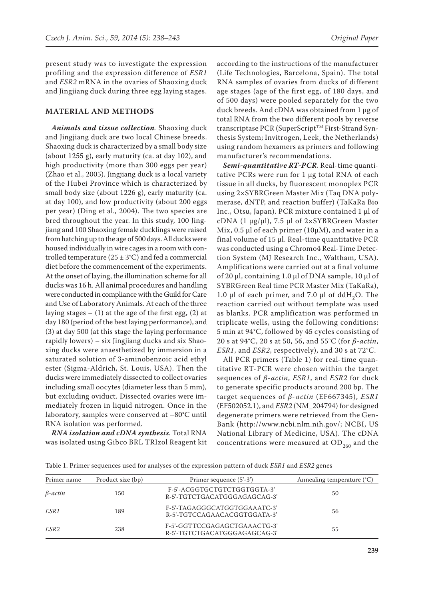present study was to investigate the expression profiling and the expression difference of *ESR1* and *ESR2* mRNA in the ovaries of Shaoxing duck and Jingjiang duck during three egg laying stages.

#### **MATERIAL AND METHODS**

*Animals and tissue collection.* Shaoxing duck and Jingjiang duck are two local Chinese breeds. Shaoxing duck is characterized by a small body size (about 1255 g), early maturity (ca. at day 102), and high productivity (more than 300 eggs per year) (Zhao et al., 2005). Jingjiang duck is a local variety of the Hubei Province which is characterized by small body size (about 1226 g), early maturity (ca. at day 100), and low productivity (about 200 eggs per year) (Ding et al., 2004). The two species are bred throughout the year. In this study, 100 Jingjiang and 100 Shaoxing female ducklings were raised from hatching up to the age of 500 days. All ducks were housed individually in wire cages in a room with controlled temperature ( $25 \pm 3$ °C) and fed a commercial diet before the commencement of the experiments. At the onset of laying, the illumination scheme for all ducks was 16 h. All animal procedures and handling were conducted in compliance with the Guild for Care and Use of Laboratory Animals. At each of the three laying stages  $- (1)$  at the age of the first egg,  $(2)$  at day 180 (period of the best laying performance), and (3) at day 500 (at this stage the laying performance rapidly lowers) – six Jingjiang ducks and six Shaoxing ducks were anaesthetized by immersion in a saturated solution of 3-aminobenzoic acid ethyl ester (Sigma-Aldrich, St. Louis, USA). Then the ducks were immediately dissected to collect ovaries including small oocytes (diameter less than 5 mm), but excluding oviduct. Dissected ovaries were immediately frozen in liquid nitrogen. Once in the laboratory, samples were conserved at –80°C until RNA isolation was performed.

*RNA isolation and cDNA synthesis.* Total RNA was isolated using Gibco BRL TRIzol Reagent kit

according to the instructions of the manufacturer (Life Technologies, Barcelona, Spain). The total RNA samples of ovaries from ducks of different age stages (age of the first egg, of 180 days, and of 500 days) were pooled separately for the two duck breeds. And cDNA was obtained from 1 μg of total RNA from the two different pools by reverse transcriptase PCR (SuperScript™ First-Strand Synthesis System; Invitrogen, Leek, the Netherlands) using random hexamers as primers and following manufacturer's recommendations.

*Semi-quantitative RT-PCR.* Real-time quantitative PCRs were run for 1 μg total RNA of each tissue in all ducks, by fluorescent monoplex PCR using 2×SYBRGreen Master Mix (Taq DNA polymerase, dNTP, and reaction buffer) (TaKaRa Bio Inc., Otsu, Japan). PCR mixture contained 1 μl of cDNA (1 μg/μl), 7.5 μl of 2×SYBRGreen Master Mix, 0.5 μl of each primer (10μM), and water in a final volume of 15 μl. Real-time quantitative PCR was conducted using a Chromo4 Real-Time Detection System (MJ Research Inc., Waltham, USA). Amplifications were carried out at a final volume of 20 μl, containing 1.0 μl of DNA sample, 10 μl of SYBRGreen Real time PCR Master Mix (TaKaRa), 1.0 μl of each primer, and 7.0 μl of ddH<sub>2</sub>O. The reaction carried out without template was used as blanks. PCR amplification was performed in triplicate wells, using the following conditions: 5 min at 94°C, followed by 45 cycles consisting of 20 s at 94°C, 20 s at 50, 56, and 55°C (for *β-actin*, *ESR1*, and *ESR2*, respectively), and 30 s at 72°C.

All PCR primers (Table 1) for real-time quantitative RT-PCR were chosen within the target sequences of *β-actin*, *ESR1*, and *ESR2* for duck to generate specific products around 200 bp. The target sequences of *β-actin* (EF667345), *ESR1* (EF502052.1), and *ESR2* (NM\_204794) for designed degenerate primers were retrieved from the Gen-Bank (http://www.ncbi.nlm.nih.gov/; NCBI, US National Library of Medicine, USA). The cDNA concentrations were measured at  $OD_{260}$  and the

Table 1. Primer sequences used for analyses of the expression pattern of duck *ESR1* and *ESR2* genes

| Primer name    | Product size (bp) | Primer sequence (5'-3')                                      | Annealing temperature $(^{\circ}C)$ |
|----------------|-------------------|--------------------------------------------------------------|-------------------------------------|
| $\beta$ -actin | 150               | F-5'-ACGGTGCTGTCTGGTGGTA-3'<br>R-5'-TGTCTGACATGGGAGAGCAG-3'  | 50                                  |
| ESR 1          | 189               | F-5'-TAGAGGGCATGGTGGAAATC-3'<br>R-5'-TGTCCAGAACACGGTGGATA-3' | 56                                  |
| ESR2           | 238               | F-5'-GGTTCCGAGAGCTGAAACTG-3'<br>R-5'-TGTCTGACATGGGAGAGCAG-3' | 55                                  |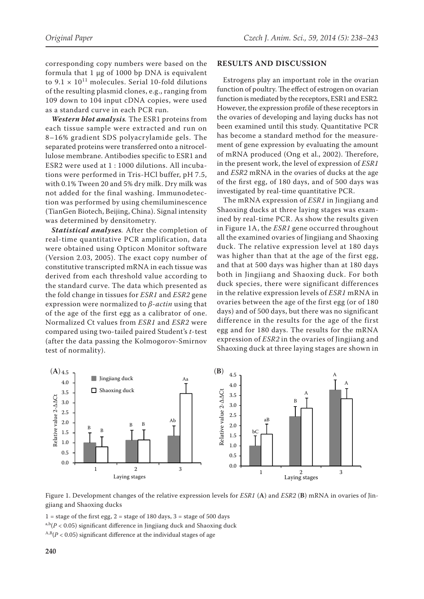corresponding copy numbers were based on the formula that 1 μg of 1000 bp DNA is equivalent to  $9.1 \times 10^{11}$  molecules. Serial 10-fold dilutions of the resulting plasmid clones, e.g., ranging from 109 down to 104 input cDNA copies, were used as a standard curve in each PCR run.

*Western blot analysis.* The ESR1 proteins from each tissue sample were extracted and run on 8–16% gradient SDS polyacrylamide gels. The separated proteins were transferred onto a nitrocellulose membrane. Antibodies specific to ESR1 and ESR2 were used at 1 : 1000 dilutions. All incubations were performed in Tris-HCl buffer, pH 7.5, with 0.1% Tween 20 and 5% dry milk. Dry milk was not added for the final washing. Immunodetection was performed by using chemiluminescence (TianGen Biotech, Beijing, China). Signal intensity was determined by densitometry.

*Statistical analyses.* After the completion of real-time quantitative PCR amplification, data were obtained using Opticon Monitor software (Version 2.03, 2005). The exact copy number of constitutive transcripted mRNA in each tissue was derived from each threshold value according to the standard curve. The data which presented as the fold change in tissues for *ESR1* and *ESR2* gene expression were normalized to *β-actin* using that of the age of the first egg as a calibrator of one. Normalized Ct values from *ESR1* and *ESR2* were compared using two-tailed paired Student's *t*-test (after the data passing the Kolmogorov-Smirnov test of normality).

#### **RESULTS AND DISCUSSION**

Estrogens play an important role in the ovarian function of poultry. The effect of estrogen on ovarian function is mediated by the receptors, ESR1 and ESR2*.* However, the expression profile of these receptors in the ovaries of developing and laying ducks has not been examined until this study. Quantitative PCR has become a standard method for the measurement of gene expression by evaluating the amount of mRNA produced (Ong et al., 2002). Therefore, in the present work, the level of expression of *ESR1* and *ESR2* mRNA in the ovaries of ducks at the age of the first egg, of 180 days, and of 500 days was investigated by real-time quantitative PCR.

The mRNA expression of *ESR1* in Jingjiang and Shaoxing ducks at three laying stages was examined by real-time PCR. As show the results given in Figure 1A, the *ESR1* gene occurred throughout all the examined ovaries of Jingjiang and Shaoxing duck. The relative expression level at 180 days was higher than that at the age of the first egg, and that at 500 days was higher than at 180 days both in Jingjiang and Shaoxing duck. For both duck species, there were significant differences in the relative expression levels of *ESR1* mRNA in ovaries between the age of the first egg (or of 180 days) and of 500 days, but there was no significant difference in the results for the age of the first egg and for 180 days. The results for the mRNA expression of *ESR2* in the ovaries of Jingjiang and Shaoxing duck at three laying stages are shown in



Figure 1. Development changes of the relative expression levels for *ESR1* (**A**) and *ESR2* (**B**) mRNA in ovaries of Jingjiang and Shaoxing ducks

 $1 =$  stage of the first egg,  $2 =$  stage of 180 days,  $3 =$  stage of 500 days  $a,b(P < 0.05)$  significant difference in Jingjiang duck and Shaoxing duck  $A,B(P < 0.05)$  significant difference at the individual stages of age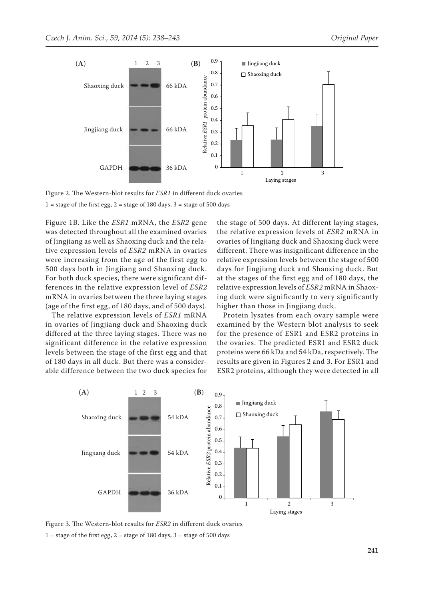

Figure 2. The Western-blot results for *ESR1* in different duck ovaries

 $1 =$  stage of the first egg,  $2 =$  stage of 180 days,  $3 =$  stage of 500 days

Figure 1B. Like the *ESR1* mRNA, the *ESR2* gene was detected throughout all the examined ovaries the 1 of Jingjiang as well as Shaoxing duck and the relative expression levels of *ESR2* mRNA in ovaries were increasing from the age of the first egg to 500 days both in Jingjiang and Shaoxing duck. For both duck species, there were significant differences in the relative expression level of *ESR2* mRNA in ovaries between the three laying stages (age of the first egg, of 180 days, and of 500 days).

> The relative expression levels of *ESR1* mRNA in ovaries of Jingjiang duck and Shaoxing duck differed at the three laying stages. There was no significant difference in the relative expression levels between the stage of the first egg and that of 180 days in all duck. But there was a considerable difference between the two duck species for

the stage of 500 days. At different laying stages, the relative expression levels of *ESR2* mRNA in ovaries of Jingjiang duck and Shaoxing duck were different. There was insignificant difference in the relative expression levels between the stage of 500 days for Jingjiang duck and Shaoxing duck. But at the stages of the first egg and of 180 days, the relative expression levels of *ESR2* mRNA in Shaoxing duck were significantly to very significantly higher than those in Jingjiang duck.

Protein lysates from each ovary sample were examined by the Western blot analysis to seek for the presence of ESR1 and ESR2 proteins in the ovaries. The predicted ESR1 and ESR2 duck proteins were 66 kDa and 54 kDa, respectively. The results are given in Figures 2 and 3. For ESR1 and ESR2 proteins, although they were detected in all



Figure 3. The Western-blot results for *ESR2* in different duck ovaries 1 = stage of the first egg, 2 = stage of 180 days, 3 = stage of 500 days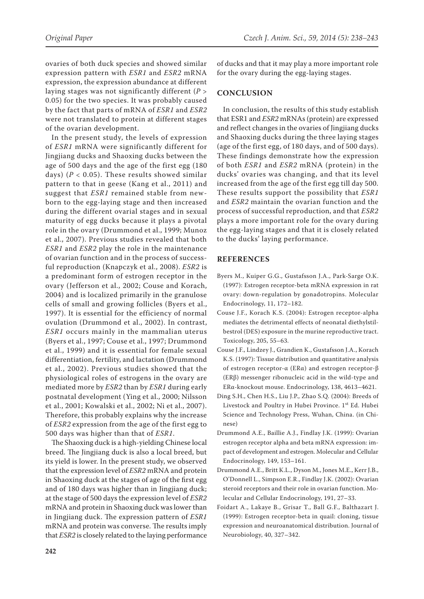ovaries of both duck species and showed similar expression pattern with *ESR1* and *ESR2* mRNA expression, the expression abundance at different laying stages was not significantly different (*P* > 0.05) for the two species. It was probably caused by the fact that parts of mRNA of *ESR1* and *ESR2* were not translated to protein at different stages of the ovarian development.

In the present study, the levels of expression of *ESR1* mRNA were significantly different for Jingjiang ducks and Shaoxing ducks between the age of 500 days and the age of the first egg (180 days) ( $P < 0.05$ ). These results showed similar pattern to that in geese (Kang et al., 2011) and suggest that *ESR1* remained stable from newborn to the egg-laying stage and then increased during the different ovarial stages and in sexual maturity of egg ducks because it plays a pivotal role in the ovary (Drummond et al., 1999; Munoz et al., 2007). Previous studies revealed that both *ESR1* and *ESR2* play the role in the maintenance of ovarian function and in the process of successful reproduction (Knapczyk et al., 2008). *ESR2* is a predominant form of estrogen receptor in the ovary (Jefferson et al., 2002; Couse and Korach, 2004) and is localized primarily in the granulose cells of small and growing follicles (Byers et al., 1997). It is essential for the efficiency of normal ovulation (Drummond et al., 2002). In contrast, *ESR1* occurs mainly in the mammalian uterus (Byers et al., 1997; Couse et al., 1997; Drummond et al., 1999) and it is essential for female sexual differentiation, fertility, and lactation (Drummond et al., 2002). Previous studies showed that the physiological roles of estrogens in the ovary are mediated more by *ESR2* than by *ESR1* during early postnatal development (Ying et al., 2000; Nilsson et al., 2001; Kowalski et al., 2002; Ni et al., 2007). Therefore, this probably explains why the increase of *ESR2* expression from the age of the first egg to 500 days was higher than that of *ESR1*.

The Shaoxing duck is a high-yielding Chinese local breed. The Jingjiang duck is also a local breed, but its yield is lower. In the present study, we observed that the expression level of *ESR2* mRNA and protein in Shaoxing duck at the stages of age of the first egg and of 180 days was higher than in Jingjiang duck; at the stage of 500 days the expression level of *ESR2* mRNA and protein in Shaoxing duck was lower than in Jingjiang duck. The expression pattern of *ESR1* mRNA and protein was converse. The results imply that *ESR2* is closely related to the laying performance

of ducks and that it may play a more important role for the ovary during the egg-laying stages.

### **CONCLUSION**

In conclusion, the results of this study establish that ESR1 and *ESR2* mRNAs (protein) are expressed and reflect changes in the ovaries of Jingjiang ducks and Shaoxing ducks during the three laying stages (age of the first egg, of 180 days, and of 500 days). These findings demonstrate how the expression of both *ESR1* and *ESR2* mRNA (protein) in the ducks' ovaries was changing, and that its level increased from the age of the first egg till day 500. These results support the possibility that *ESR1* and *ESR2* maintain the ovarian function and the process of successful reproduction, and that *ESR2* plays a more important role for the ovary during the egg-laying stages and that it is closely related to the ducks' laying performance.

#### **REFERENCES**

- Byers M., Kuiper G.G., Gustafsson J.A., Park-Sarge O.K. (1997): Estrogen receptor-beta mRNA expression in rat ovary: down-regulation by gonadotropins. Molecular Endocrinology, 11, 172–182.
- Couse J.F., Korach K.S. (2004): Estrogen receptor-alpha mediates the detrimental effects of neonatal diethylstilbestrol (DES) exposure in the murine reproductive tract. Toxicology, 205, 55–63.
- Couse J.F., Lindzey J., Grandien K., Gustafsson J.A., Korach K.S. (1997): Tissue distribution and quantitative analysis of estrogen receptor-α (ERα) and estrogen receptor-β (ERβ) messenger ribonucleic acid in the wild-type and ERα-knockout mouse. Endocrinology, 138, 4613–4621.
- Ding S.H., Chen H.S., Liu J.P., Zhao S.Q. (2004): Breeds of Livestock and Poultry in Hubei Province. 1<sup>st</sup> Ed. Hubei Science and Technology Press, Wuhan, China. (in Chinese)
- Drummond A.E., Baillie A.J., Findlay J.K. (1999): Ovarian estrogen receptor alpha and beta mRNA expression: impact of development and estrogen. Molecular and Cellular Endocrinology, 149, 153–161.
- Drummond A.E., Britt K.L., Dyson M., Jones M.E., Kerr J.B., O'Donnell L., Simpson E.R., Findlay J.K. (2002): Ovarian steroid receptors and their role in ovarian function. Molecular and Cellular Endocrinology, 191, 27–33.
- Foidart A., Lakaye B., Grisar T., Ball G.F., Balthazart J. (1999): Estrogen receptor-beta in quail: cloning, tissue expression and neuroanatomical distribution. Journal of Neurobiology, 40, 327–342.